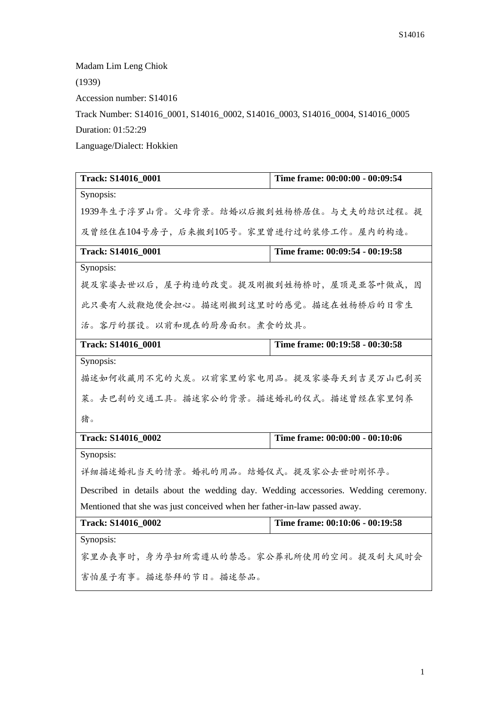Madam Lim Leng Chiok

(1939)

Accession number: S14016

Track Number: S14016\_0001, S14016\_0002, S14016\_0003, S14016\_0004, S14016\_0005 Duration: 01:52:29

Language/Dialect: Hokkien

| Track: S14016 0001                                                                 | Time frame: 00:00:00 - 00:09:54 |
|------------------------------------------------------------------------------------|---------------------------------|
| Synopsis:                                                                          |                                 |
| 1939年生于浮罗山背。父母背景。结婚以后搬到姓杨桥居住。与丈夫的结识过程。提                                            |                                 |
| 及曾经住在104号房子,后来搬到105号。家里曾进行过的装修工作。屋内的构造。                                            |                                 |
| Track: S14016_0001                                                                 | Time frame: 00:09:54 - 00:19:58 |
| Synopsis:                                                                          |                                 |
| 提及家婆去世以后,屋子构造的改变。提及刚搬到姓杨桥时,屋顶是亚答叶做成,因                                              |                                 |
| 此只要有人放鞭炮便会担心。描述刚搬到这里时的感觉。描述在姓杨桥后的日常生                                               |                                 |
| 活。客厅的摆设。以前和现在的厨房面积。煮食的炊具。                                                          |                                 |
| Track: S14016_0001                                                                 | Time frame: 00:19:58 - 00:30:58 |
| Synopsis:                                                                          |                                 |
| 描述如何收藏用不完的火炭。以前家里的家电用品。提及家婆每天到吉灵万山巴刹买                                              |                                 |
| 菜。去巴刹的交通工具。描述家公的背景。描述婚礼的仪式。描述曾经在家里饲养                                               |                                 |
| 猪。                                                                                 |                                 |
| <b>Track: S14016 0002</b>                                                          | Time frame: 00:00:00 - 00:10:06 |
| Synopsis:                                                                          |                                 |
| 详细描述婚礼当天的情景。婚礼的用品。结婚仪式。提及家公去世时刚怀孕。                                                 |                                 |
| Described in details about the wedding day. Wedding accessories. Wedding ceremony. |                                 |
| Mentioned that she was just conceived when her father-in-law passed away.          |                                 |
| Track: S14016_0002                                                                 | Time frame: 00:10:06 - 00:19:58 |
| Synopsis:                                                                          |                                 |
| 家里办丧事时,身为孕妇所需遵从的禁忌。家公葬礼所使用的空间。提及刮大风时会                                              |                                 |
| 害怕屋子有事。描述祭拜的节日。描述祭品。                                                               |                                 |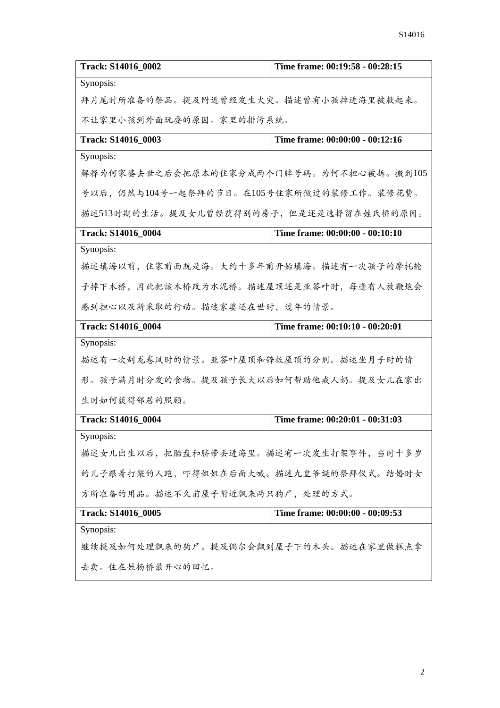| Track: S14016 0002                       | Time frame: 00:19:58 - 00:28:15 |
|------------------------------------------|---------------------------------|
| Synopsis:                                |                                 |
| 拜月尾时所准备的祭品。提及附近曾经发生火灾。描述曾有小孩掉进海里被救起来。    |                                 |
| 不让家里小孩到外面玩耍的原因。家里的排污系统。                  |                                 |
| Track: S14016_0003                       | Time frame: 00:00:00 - 00:12:16 |
| Synopsis:                                |                                 |
| 解释为何家婆去世之后会把原本的住家分成两个门牌号码。为何不担心被拆。搬到105  |                                 |
| 号以后,仍然与104号一起祭拜的节日。在105号住家所做过的装修工作。装修花费。 |                                 |
| 描述513时期的生活。提及女儿曾经获得别的房子,但是还是选择留在姓氏桥的原因。  |                                 |
| Track: S14016 0004                       | Time frame: 00:00:00 - 00:10:10 |
| Synopsis:                                |                                 |
| 描述填海以前,住家前面就是海。大约十多年前开始填海。描述有一次孩子的摩托轮    |                                 |
| 子掉下木桥,因此把该木桥改为水泥桥。描述屋顶还是亚答叶时,每逢有人放鞭炮会    |                                 |
| 感到担心以及所采取的行动。描述家婆还在世时,过年的情景。             |                                 |
|                                          |                                 |
| Track: S14016_0004                       | Time frame: 00:10:10 - 00:20:01 |
| Synopsis:                                |                                 |
| 描述有一次刮龙卷风时的情景。亚答叶屋顶和锌板屋顶的分别。描述坐月子时的情     |                                 |
| 形。孩子满月时分发的食物。提及孩子长大以后如何帮助他戒人奶。提及女儿在家出    |                                 |
| 生时如何获得邻居的照顾。                             |                                 |
| Track: S14016 0004                       | Time frame: 00:20:01 - 00:31:03 |
| Synopsis:                                |                                 |
| 描述女儿出生以后, 把胎盘和脐带丢进海里。描述有一次发生打架事件, 当时十多岁  |                                 |
| 的儿子跟着打架的人跑,吓得姐姐在后面大喊。描述九皇爷诞的祭拜仪式。结婚时女    |                                 |
| 方所准备的用品。描述不久前屋子附近飘来两只狗尸,处理的方式。           |                                 |
| Track: S14016_0005                       | Time frame: 00:00:00 - 00:09:53 |
| Synopsis:                                |                                 |
| 继续提及如何处理飘来的狗尸。提及偶尔会飘到屋子下的木头。描述在家里做糕点拿    |                                 |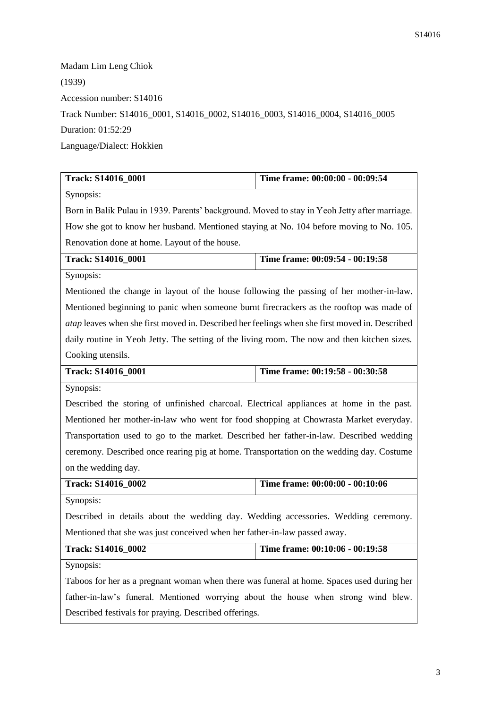Madam Lim Leng Chiok (1939) Accession number: S14016 Track Number: S14016\_0001, S14016\_0002, S14016\_0003, S14016\_0004, S14016\_0005 Duration: 01:52:29 Language/Dialect: Hokkien

| Track: S14016_0001                                                                             | Time frame: 00:00:00 - 00:09:54                                                          |  |
|------------------------------------------------------------------------------------------------|------------------------------------------------------------------------------------------|--|
| Synopsis:                                                                                      |                                                                                          |  |
| Born in Balik Pulau in 1939. Parents' background. Moved to stay in Yeoh Jetty after marriage.  |                                                                                          |  |
| How she got to know her husband. Mentioned staying at No. 104 before moving to No. 105.        |                                                                                          |  |
| Renovation done at home. Layout of the house.                                                  |                                                                                          |  |
| Track: S14016_0001                                                                             | Time frame: 00:09:54 - 00:19:58                                                          |  |
| Synopsis:                                                                                      |                                                                                          |  |
| Mentioned the change in layout of the house following the passing of her mother-in-law.        |                                                                                          |  |
| Mentioned beginning to panic when someone burnt firecrackers as the rooftop was made of        |                                                                                          |  |
| atap leaves when she first moved in. Described her feelings when she first moved in. Described |                                                                                          |  |
| daily routine in Yeoh Jetty. The setting of the living room. The now and then kitchen sizes.   |                                                                                          |  |
| Cooking utensils.                                                                              |                                                                                          |  |
| Track: S14016_0001                                                                             | Time frame: 00:19:58 - 00:30:58                                                          |  |
| Synopsis:                                                                                      |                                                                                          |  |
|                                                                                                | Described the storing of unfinished charcoal. Electrical appliances at home in the past. |  |
| Mentioned her mother-in-law who went for food shopping at Chowrasta Market everyday.           |                                                                                          |  |
| Transportation used to go to the market. Described her father-in-law. Described wedding        |                                                                                          |  |
| ceremony. Described once rearing pig at home. Transportation on the wedding day. Costume       |                                                                                          |  |
| on the wedding day.                                                                            |                                                                                          |  |
| Track: S14016_0002                                                                             | Time frame: 00:00:00 - 00:10:06                                                          |  |
| Synopsis:                                                                                      |                                                                                          |  |
| Described in details about the wedding day. Wedding accessories. Wedding ceremony.             |                                                                                          |  |
| Mentioned that she was just conceived when her father-in-law passed away.                      |                                                                                          |  |
| Track: S14016_0002                                                                             | Time frame: 00:10:06 - 00:19:58                                                          |  |
| Synopsis:                                                                                      |                                                                                          |  |
| Taboos for her as a pregnant woman when there was funeral at home. Spaces used during her      |                                                                                          |  |
| father-in-law's funeral. Mentioned worrying about the house when strong wind blew.             |                                                                                          |  |
| Described festivals for praying. Described offerings.                                          |                                                                                          |  |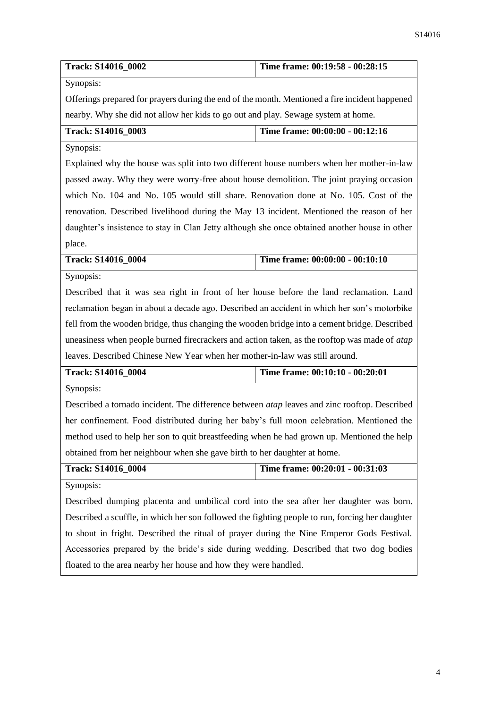| <b>Track: S14016 0002</b> | Time frame: $00:19:58 - 00:28:15$ |
|---------------------------|-----------------------------------|
|                           |                                   |

Synopsis:

Offerings prepared for prayers during the end of the month. Mentioned a fire incident happened nearby. Why she did not allow her kids to go out and play. Sewage system at home.

| <b>Track: S14016 0003</b> | Time frame: 00:00:00 - 00:12:16 |
|---------------------------|---------------------------------|
|---------------------------|---------------------------------|

Synopsis:

Explained why the house was split into two different house numbers when her mother-in-law passed away. Why they were worry-free about house demolition. The joint praying occasion which No. 104 and No. 105 would still share. Renovation done at No. 105. Cost of the renovation. Described livelihood during the May 13 incident. Mentioned the reason of her daughter's insistence to stay in Clan Jetty although she once obtained another house in other place.

| Track: S14016 0004 |  |  | Time frame: $00:00:00 - 00:10:10$ |
|--------------------|--|--|-----------------------------------|
|--------------------|--|--|-----------------------------------|

Synopsis:

Described that it was sea right in front of her house before the land reclamation. Land reclamation began in about a decade ago. Described an accident in which her son's motorbike fell from the wooden bridge, thus changing the wooden bridge into a cement bridge. Described uneasiness when people burned firecrackers and action taken, as the rooftop was made of *atap*  leaves. Described Chinese New Year when her mother-in-law was still around.

| <b>Track: S14016 0004</b> | Time frame: 00:10:10 - 00:20:01 |
|---------------------------|---------------------------------|
| $C$ <i>rmondia</i>        |                                 |

Synopsis:

Described a tornado incident. The difference between *atap* leaves and zinc rooftop. Described her confinement. Food distributed during her baby's full moon celebration. Mentioned the method used to help her son to quit breastfeeding when he had grown up. Mentioned the help obtained from her neighbour when she gave birth to her daughter at home.

| <b>Track: S14016 0004</b> | Time frame: $00:20:01 - 00:31:03$ |
|---------------------------|-----------------------------------|
|                           |                                   |

Synopsis:

Described dumping placenta and umbilical cord into the sea after her daughter was born. Described a scuffle, in which her son followed the fighting people to run, forcing her daughter to shout in fright. Described the ritual of prayer during the Nine Emperor Gods Festival. Accessories prepared by the bride's side during wedding. Described that two dog bodies floated to the area nearby her house and how they were handled.